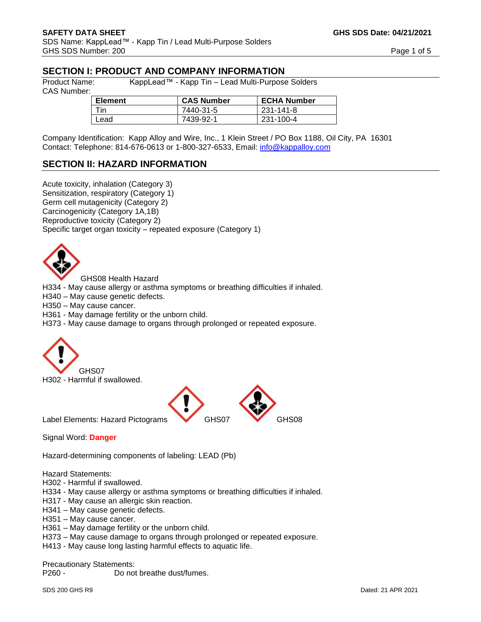# **SECTION I: PRODUCT AND COMPANY INFORMATION**

CAS Number:

Product Name: KappLead™ - Kapp Tin – Lead Multi-Purpose Solders

| Element | <b>CAS Number</b> | <b>ECHA Number</b> |
|---------|-------------------|--------------------|
| ïn      | 7440-31-5         | 231-141-8          |
| ∟ead    | 7439-92-1         | 231-100-4          |

Company Identification: Kapp Alloy and Wire, Inc., 1 Klein Street / PO Box 1188, Oil City, PA 16301 Contact: Telephone: 814-676-0613 or 1-800-327-6533, Email: [info@kappalloy.com](mailto:info@kappalloy.com)

# **SECTION II: HAZARD INFORMATION**

Acute toxicity, inhalation (Category 3) Sensitization, respiratory (Category 1) Germ cell mutagenicity (Category 2) Carcinogenicity (Category 1A,1B) Reproductive toxicity (Category 2) Specific target organ toxicity – repeated exposure (Category 1)



GHS08 Health Hazard

H334 - May cause allergy or asthma symptoms or breathing difficulties if inhaled.

H340 – May cause genetic defects.

H350 – May cause cancer.

H361 - May damage fertility or the unborn child.

H373 - May cause damage to organs through prolonged or repeated exposure.





Signal Word: **Danger**

Hazard-determining components of labeling: LEAD (Pb)

Hazard Statements:

- H302 Harmful if swallowed.
- H334 May cause allergy or asthma symptoms or breathing difficulties if inhaled.
- H317 May cause an allergic skin reaction.
- H341 May cause genetic defects.
- H351 May cause cancer.
- H361 May damage fertility or the unborn child.
- H373 May cause damage to organs through prolonged or repeated exposure.
- H413 May cause long lasting harmful effects to aquatic life.

Precautionary Statements:

P260 - Do not breathe dust/fumes.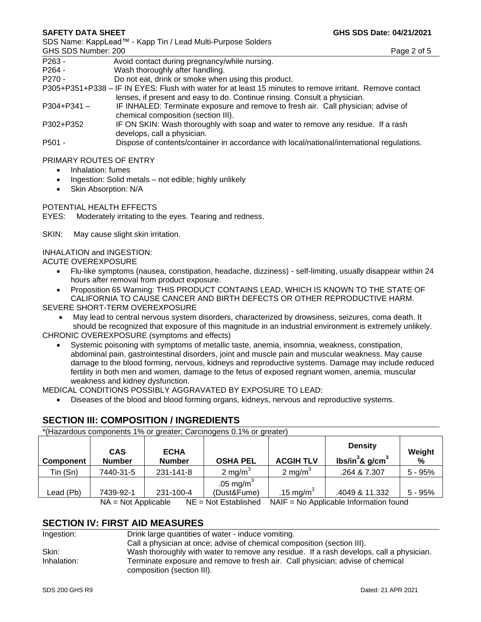SDS Name: KappLead™ - Kapp Tin / Lead Multi-Purpose Solders

| GHS SDS Number: 200 | Page 2 of 5                                                                                              |
|---------------------|----------------------------------------------------------------------------------------------------------|
| P263 -              | Avoid contact during pregnancy/while nursing.                                                            |
| $P264 -$            | Wash thoroughly after handling.                                                                          |
| $P270 -$            | Do not eat, drink or smoke when using this product.                                                      |
|                     | P305+P351+P338 – IF IN EYES: Flush with water for at least 15 minutes to remove irritant. Remove contact |
|                     | lenses, if present and easy to do. Continue rinsing. Consult a physician.                                |
| $P304 + P341 -$     | IF INHALED: Terminate exposure and remove to fresh air. Call physician; advise of                        |
|                     | chemical composition (section III).                                                                      |
| D300TD350           | IF ON SKIN: Wash thoroughly with soan and water to remove any residue. If a rash                         |

P302+P352 IF ON SKIN: Wash thoroughly with soap and water to remove any residue. If a rash develops, call a physician.

P501 - Dispose of contents/container in accordance with local/national/international regulations.

#### PRIMARY ROUTES OF ENTRY

- Inhalation: fumes
- Ingestion: Solid metals not edible; highly unlikely
- Skin Absorption: N/A

#### POTENTIAL HEALTH EFFECTS

EYES: Moderately irritating to the eyes. Tearing and redness.

SKIN: May cause slight skin irritation.

#### INHALATION and INGESTION:

ACUTE OVEREXPOSURE

- Flu-like symptoms (nausea, constipation, headache, dizziness) self-limiting, usually disappear within 24 hours after removal from product exposure.
- Proposition 65 Warning: THIS PRODUCT CONTAINS LEAD, WHICH IS KNOWN TO THE STATE OF CALIFORNIA TO CAUSE CANCER AND BIRTH DEFECTS OR OTHER REPRODUCTIVE HARM.

SEVERE SHORT-TERM OVEREXPOSURE

• May lead to central nervous system disorders, characterized by drowsiness, seizures, coma death. It should be recognized that exposure of this magnitude in an industrial environment is extremely unlikely.

CHRONIC OVEREXPOSURE (symptoms and effects)

• Systemic poisoning with symptoms of metallic taste, anemia, insomnia, weakness, constipation, abdominal pain, gastrointestinal disorders, joint and muscle pain and muscular weakness. May cause damage to the blood forming, nervous, kidneys and reproductive systems. Damage may include reduced fertility in both men and women, damage to the fetus of exposed regnant women, anemia, muscular weakness and kidney dysfunction.

MEDICAL CONDITIONS POSSIBLY AGGRAVATED BY EXPOSURE TO LEAD:

• Diseases of the blood and blood forming organs, kidneys, nervous and reproductive systems.

# **SECTION III: COMPOSITION / INGREDIENTS**

| *(Hazardous components 1% or greater; Carcinogens 0.1% or greater) |                             |                              |                              |                  |                                                   |             |
|--------------------------------------------------------------------|-----------------------------|------------------------------|------------------------------|------------------|---------------------------------------------------|-------------|
| <b>Component</b>                                                   | <b>CAS</b><br><b>Number</b> | <b>ECHA</b><br><b>Number</b> | <b>OSHA PEL</b>              | <b>ACGIH TLV</b> | <b>Density</b><br>lbs/in ${}^{3}$ & g/cm ${}^{3}$ | Weight<br>% |
| Tin (Sn)                                                           | 7440-31-5                   | 231-141-8                    | 2 mg/m $3$                   | 2 mg/m $3$       | .264 & 7.307                                      | $5 - 95%$   |
| Lead (Pb)                                                          | 7439-92-1                   | 231-100-4                    | .05 mg/m $^3$<br>(Dust&Fume) | .15 mg/m $^3$    | .4049 & 11.332                                    | $5 - 95%$   |
|                                                                    | $NA = Not Applicable$       |                              | $NE = Not$ Established       |                  | NAIF = No Applicable Information found            |             |

# **SECTION IV: FIRST AID MEASURES**

| Ingestion:  | Drink large quantities of water - induce vomiting.                                                           |
|-------------|--------------------------------------------------------------------------------------------------------------|
|             | Call a physician at once; advise of chemical composition (section III).                                      |
| Skin:       | Wash thoroughly with water to remove any residue. If a rash develops, call a physician.                      |
| Inhalation: | Terminate exposure and remove to fresh air. Call physician; advise of chemical<br>composition (section III). |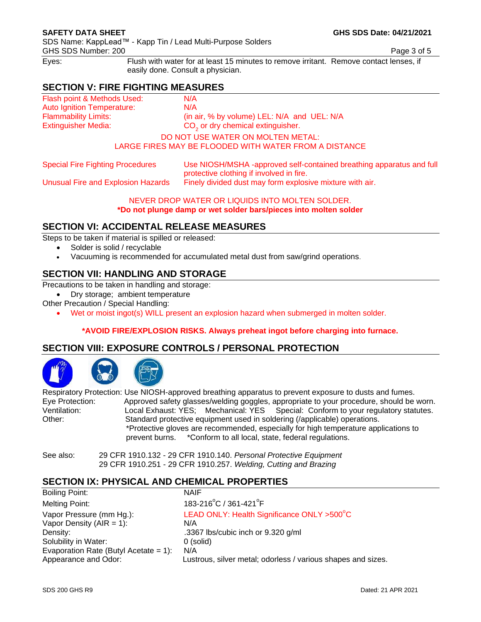SDS Name: KappLead™ - Kapp Tin / Lead Multi-Purpose Solders GHS SDS Number: 200 **Page 3 of 5** Page 3 of 5

Eyes: Flush with water for at least 15 minutes to remove irritant. Remove contact lenses, if easily done. Consult a physician.

# **SECTION V: FIRE FIGHTING MEASURES**

Flash point & Methods Used: N/A Auto Ignition Temperature: N/A Extinguisher Media:

Flammability Limits: (in air, % by volume) LEL: N/A and UEL: N/A CO<sub>2</sub> or dry chemical extinguisher.

## DO NOT USE WATER ON MOLTEN METAL:

LARGE FIRES MAY BE FLOODED WITH WATER FROM A DISTANCE

Special Fire Fighting Procedures Use NIOSH/MSHA -approved self-contained breathing apparatus and full protective clothing if involved in fire.

Unusual Fire and Explosion Hazards Finely divided dust may form explosive mixture with air.

NEVER DROP WATER OR LIQUIDS INTO MOLTEN SOLDER. **\*Do not plunge damp or wet solder bars/pieces into molten solder**

# **SECTION VI: ACCIDENTAL RELEASE MEASURES**

Steps to be taken if material is spilled or released:

- Solder is solid / recyclable
- Vacuuming is recommended for accumulated metal dust from saw/grind operations.

# **SECTION VII: HANDLING AND STORAGE**

Precautions to be taken in handling and storage:

• Dry storage; ambient temperature

- Other Precaution / Special Handling:
	- Wet or moist ingot(s) WILL present an explosion hazard when submerged in molten solder.

### **\*AVOID FIRE/EXPLOSION RISKS. Always preheat ingot before charging into furnace.**

# **SECTION VIII: EXPOSURE CONTROLS / PERSONAL PROTECTION**

Respiratory Protection: Use NIOSH-approved breathing apparatus to prevent exposure to dusts and fumes. Eye Protection: Approved safety glasses/welding goggles, appropriate to your procedure, should be worn.<br>
Ventilation: Cocal Exhaust: YES: Mechanical: YES Special: Conform to your regulatory statutes. Local Exhaust: YES; Mechanical: YES Special: Conform to your regulatory statutes. Other: Standard protective equipment used in soldering (/applicable) operations. \*Protective gloves are recommended, especially for high temperature applications to prevent burns. \*Conform to all local, state, federal regulations.

See also: 29 CFR 1910.132 - 29 CFR 1910.140. *Personal Protective Equipment* 29 CFR 1910.251 - 29 CFR 1910.257. *Welding, Cutting and Brazing*

# **SECTION IX: PHYSICAL AND CHEMICAL PROPERTIES**

Boiling Point: NAIF Melting Point:  $C/361-421^{\circ}F$ Vapor Pressure (mm Hg.): LEAD ONLY: Health Significance ONLY >500°C Vapor Density  $(AIR = 1)$ :  $N/A$ Density: Density: .3367 lbs/cubic inch or 9.320 g/ml Solubility in Water: 0 (solid) Evaporation Rate (Butyl Acetate = 1):  $N/A$ Appearance and Odor: Lustrous, silver metal; odorless / various shapes and sizes.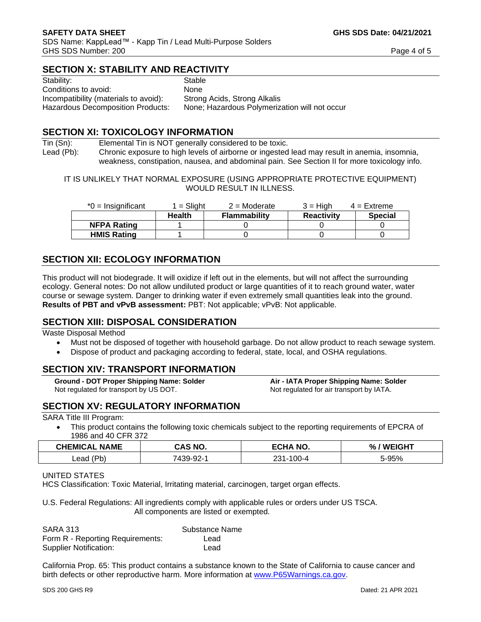# **SECTION X: STABILITY AND REACTIVITY**

| Stability:                               | Stable                                        |
|------------------------------------------|-----------------------------------------------|
| Conditions to avoid:                     | <b>None</b>                                   |
| Incompatibility (materials to avoid):    | Strong Acids, Strong Alkalis                  |
| <b>Hazardous Decomposition Products:</b> | None; Hazardous Polymerization will not occur |
|                                          |                                               |

## **SECTION XI: TOXICOLOGY INFORMATION**

Tin (Sn): Elemental Tin is NOT generally considered to be toxic. Lead (Pb): Chronic exposure to high levels of airborne or ingested lead may result in anemia, insomnia, weakness, constipation, nausea, and abdominal pain. See Section II for more toxicology info.

IT IS UNLIKELY THAT NORMAL EXPOSURE (USING APPROPRIATE PROTECTIVE EQUIPMENT) WOULD RESULT IN ILLNESS.

| $*0 =$ Insignificant | 1 = Sliaht    | $2 =$ Moderate      | $3 = H$ iah       | $4 =$ Extreme  |
|----------------------|---------------|---------------------|-------------------|----------------|
|                      | <b>Health</b> | <b>Flammability</b> | <b>Reactivity</b> | <b>Special</b> |
| <b>NFPA Rating</b>   |               |                     |                   |                |
| <b>HMIS Rating</b>   |               |                     |                   |                |

# **SECTION XII: ECOLOGY INFORMATION**

This product will not biodegrade. It will oxidize if left out in the elements, but will not affect the surrounding ecology. General notes: Do not allow undiluted product or large quantities of it to reach ground water, water course or sewage system. Danger to drinking water if even extremely small quantities leak into the ground. **Results of PBT and vPvB assessment:** PBT: Not applicable; vPvB: Not applicable.

### **SECTION XIII: DISPOSAL CONSIDERATION**

Waste Disposal Method

- Must not be disposed of together with household garbage. Do not allow product to reach sewage system.
- Dispose of product and packaging according to federal, state, local, and OSHA regulations.

# **SECTION XIV: TRANSPORT INFORMATION**

**Ground - DOT Proper Shipping Name: Solder Air - IATA Proper Shipping Name: Solder** Not regulated for transport by US DOT. Not regulated for air transport by IATA.

# **SECTION XV: REGULATORY INFORMATION**

SARA Title III Program:

• This product contains the following toxic chemicals subject to the reporting requirements of EPCRA of 1986 and 40 CFR 372

| <b>CHEMICAL</b><br><b>NAME</b> | <b>AS NO.</b> | <b>ECHANO.</b> | ===<br>%.<br>W.<br>65 M |
|--------------------------------|---------------|----------------|-------------------------|
| 'Dh                            | רח חפו        | $00-4$         | 5-95%                   |
| Lead                           | ວອ-ອ∠-        | 221            |                         |

#### UNITED STATES

HCS Classification: Toxic Material, Irritating material, carcinogen, target organ effects.

U.S. Federal Regulations: All ingredients comply with applicable rules or orders under US TSCA. All components are listed or exempted.

| <b>SARA 313</b>                  | Substance Name |
|----------------------------------|----------------|
| Form R - Reporting Requirements: | Lead           |
| Supplier Notification:           | Lead           |

California Prop. 65: This product contains a substance known to the State of California to cause cancer and birth defects or other reproductive harm. More information at [www.P65Warnings.ca.gov.](http://www.p65warnings.ca.gov/)